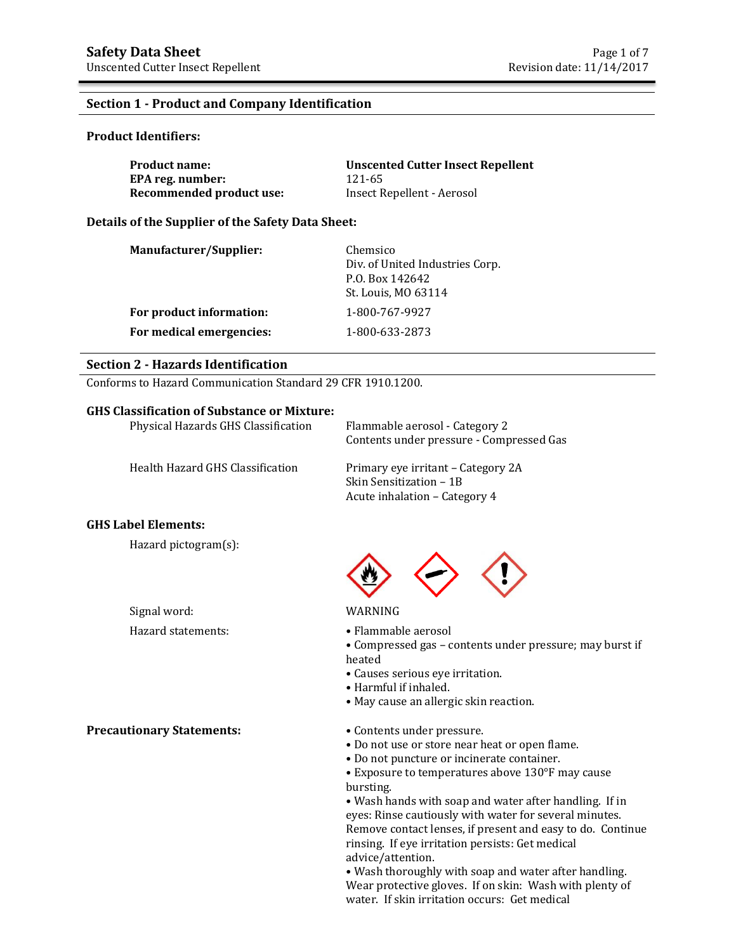## **Section 1 - Product and Company Identification**

#### **Product Identifiers:**

| <b>Product name:</b>            | <b>Unscented Cutter Insect Repellent</b> |
|---------------------------------|------------------------------------------|
| EPA reg. number:                | 121-65                                   |
| <b>Recommended product use:</b> | Insect Repellent - Aerosol               |

#### **Details of the Supplier of the Safety Data Sheet:**

| <b>Manufacturer/Supplier:</b> | Chemsico<br>Div. of United Industries Corp.<br>P.O. Box 142642<br>St. Louis, MO 63114 |
|-------------------------------|---------------------------------------------------------------------------------------|
| For product information:      | 1-800-767-9927                                                                        |
| For medical emergencies:      | 1-800-633-2873                                                                        |

## **Section 2 - Hazards Identification**

Conforms to Hazard Communication Standard 29 CFR 1910.1200.

## **GHS Classification of Substance or Mixture:**

| Physical Hazards GHS Classification | Flammable aerosol - Category 2<br>Contents under pressure - Compressed Gas                     |
|-------------------------------------|------------------------------------------------------------------------------------------------|
| Health Hazard GHS Classification    | Primary eye irritant – Category 2A<br>Skin Sensitization - 1B<br>Acute inhalation – Category 4 |

## **GHS Label Elements:**

Hazard pictogram(s):

Signal word: WARNING

**Precautionary Statements:** • Contents under pressure.



- Hazard statements: • Flammable aerosol
	- Compressed gas contents under pressure; may burst if heated
	- Causes serious eye irritation.
	- Harmful if inhaled.
	- May cause an allergic skin reaction.
	-
	- Do not use or store near heat or open flame.
	- Do not puncture or incinerate container.
	- Exposure to temperatures above 130°F may cause bursting.

• Wash hands with soap and water after handling. If in eyes: Rinse cautiously with water for several minutes. Remove contact lenses, if present and easy to do. Continue rinsing. If eye irritation persists: Get medical advice/attention.

• Wash thoroughly with soap and water after handling. Wear protective gloves. If on skin: Wash with plenty of water. If skin irritation occurs: Get medical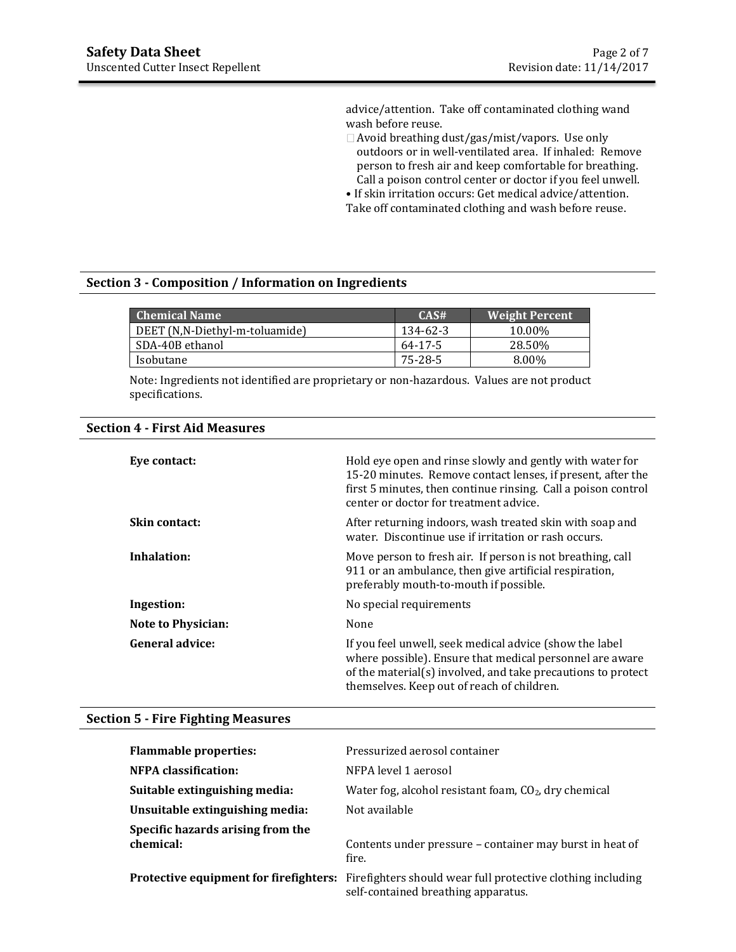advice/attention. Take off contaminated clothing wand wash before reuse.

- □ Avoid breathing dust/gas/mist/vapors. Use only outdoors or in well-ventilated area. If inhaled: Remove person to fresh air and keep comfortable for breathing. Call a poison control center or doctor if you feel unwell.
- If skin irritation occurs: Get medical advice/attention. Take off contaminated clothing and wash before reuse.

## **Section 3 - Composition / Information on Ingredients**

| <b>Chemical Name</b>           | CAS#     | <b>Weight Percent</b> |
|--------------------------------|----------|-----------------------|
| DEET (N,N-Diethyl-m-toluamide) | 134-62-3 | 10.00%                |
| SDA-40B ethanol                | 64-17-5  | 28.50%                |
| Isobutane                      | 75-28-5  | 8.00%                 |

Note: Ingredients not identified are proprietary or non-hazardous. Values are not product specifications.

| <b>Section 4 - First Aid Measures</b> |  |  |
|---------------------------------------|--|--|
|---------------------------------------|--|--|

| Eve contact:              | Hold eye open and rinse slowly and gently with water for<br>15-20 minutes. Remove contact lenses, if present, after the<br>first 5 minutes, then continue rinsing. Call a poison control<br>center or doctor for treatment advice. |
|---------------------------|------------------------------------------------------------------------------------------------------------------------------------------------------------------------------------------------------------------------------------|
| Skin contact:             | After returning indoors, wash treated skin with soap and<br>water. Discontinue use if irritation or rash occurs.                                                                                                                   |
| Inhalation:               | Move person to fresh air. If person is not breathing, call<br>911 or an ambulance, then give artificial respiration,<br>preferably mouth-to-mouth if possible.                                                                     |
| Ingestion:                | No special requirements                                                                                                                                                                                                            |
| <b>Note to Physician:</b> | None                                                                                                                                                                                                                               |
| <b>General advice:</b>    | If you feel unwell, seek medical advice (show the label<br>where possible). Ensure that medical personnel are aware<br>of the material(s) involved, and take precautions to protect<br>themselves. Keep out of reach of children.  |

## **Section 5 - Fire Fighting Measures**

| <b>Flammable properties:</b>                   | Pressurized aerosol container                                                                                                                    |
|------------------------------------------------|--------------------------------------------------------------------------------------------------------------------------------------------------|
| NFPA classification:                           | NFPA level 1 aerosol                                                                                                                             |
| Suitable extinguishing media:                  | Water fog, alcohol resistant foam, $CO2$ , dry chemical                                                                                          |
| Unsuitable extinguishing media:                | Not available                                                                                                                                    |
| Specific hazards arising from the<br>chemical: | Contents under pressure – container may burst in heat of<br>fire.                                                                                |
|                                                | <b>Protective equipment for firefighters:</b> Firefighters should wear full protective clothing including<br>self-contained breathing apparatus. |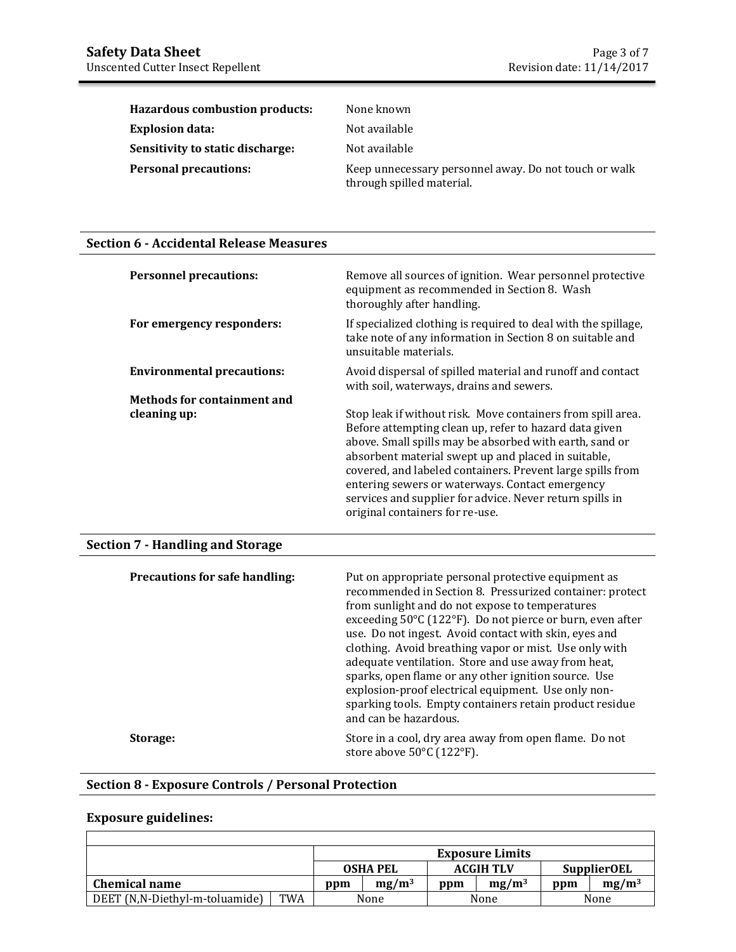| Hazardous combustion products:   | None known                                                                         |
|----------------------------------|------------------------------------------------------------------------------------|
| <b>Explosion data:</b>           | Not available                                                                      |
| Sensitivity to static discharge: | Not available                                                                      |
| <b>Personal precautions:</b>     | Keep unnecessary personnel away. Do not touch or walk<br>through spilled material. |

## **Section 6 - Accidental Release Measures**

| <b>Personnel precautions:</b>      | Remove all sources of ignition. Wear personnel protective<br>equipment as recommended in Section 8. Wash<br>thoroughly after handling.                                                                                                                                                                                                                                                                                                                  |
|------------------------------------|---------------------------------------------------------------------------------------------------------------------------------------------------------------------------------------------------------------------------------------------------------------------------------------------------------------------------------------------------------------------------------------------------------------------------------------------------------|
| For emergency responders:          | If specialized clothing is required to deal with the spillage,<br>take note of any information in Section 8 on suitable and<br>unsuitable materials.                                                                                                                                                                                                                                                                                                    |
| <b>Environmental precautions:</b>  | Avoid dispersal of spilled material and runoff and contact<br>with soil, waterways, drains and sewers.                                                                                                                                                                                                                                                                                                                                                  |
| <b>Methods for containment and</b> |                                                                                                                                                                                                                                                                                                                                                                                                                                                         |
| cleaning up:                       | Stop leak if without risk. Move containers from spill area.<br>Before attempting clean up, refer to hazard data given<br>above. Small spills may be absorbed with earth, sand or<br>absorbent material swept up and placed in suitable,<br>covered, and labeled containers. Prevent large spills from<br>entering sewers or waterways. Contact emergency<br>services and supplier for advice. Never return spills in<br>original containers for re-use. |

# **Section 7 - Handling and Storage**

| <b>Precautions for safe handling:</b> | Put on appropriate personal protective equipment as<br>recommended in Section 8. Pressurized container: protect<br>from sunlight and do not expose to temperatures<br>exceeding 50°C (122°F). Do not pierce or burn, even after<br>use. Do not ingest. Avoid contact with skin, eyes and<br>clothing. Avoid breathing vapor or mist. Use only with<br>adequate ventilation. Store and use away from heat,<br>sparks, open flame or any other ignition source. Use<br>explosion-proof electrical equipment. Use only non-<br>sparking tools. Empty containers retain product residue<br>and can be hazardous. |
|---------------------------------------|--------------------------------------------------------------------------------------------------------------------------------------------------------------------------------------------------------------------------------------------------------------------------------------------------------------------------------------------------------------------------------------------------------------------------------------------------------------------------------------------------------------------------------------------------------------------------------------------------------------|
| Storage:                              | Store in a cool, dry area away from open flame. Do not<br>store above 50°C (122°F).                                                                                                                                                                                                                                                                                                                                                                                                                                                                                                                          |

# **Section 8 - Exposure Controls / Personal Protection**

# **Exposure guidelines:**

|                                       | <b>Exposure Limits</b> |                 |                  |          |                    |          |
|---------------------------------------|------------------------|-----------------|------------------|----------|--------------------|----------|
|                                       |                        | <b>OSHA PEL</b> | <b>ACGIH TLV</b> |          | <b>SupplierOEL</b> |          |
| <b>Chemical name</b>                  | ppm                    | $mg/m^3$        | ppm              | $mg/m^3$ | ppm                | $mg/m^3$ |
| TWA<br>DEET (N,N-Diethyl-m-toluamide) |                        | None            |                  | None     |                    | None     |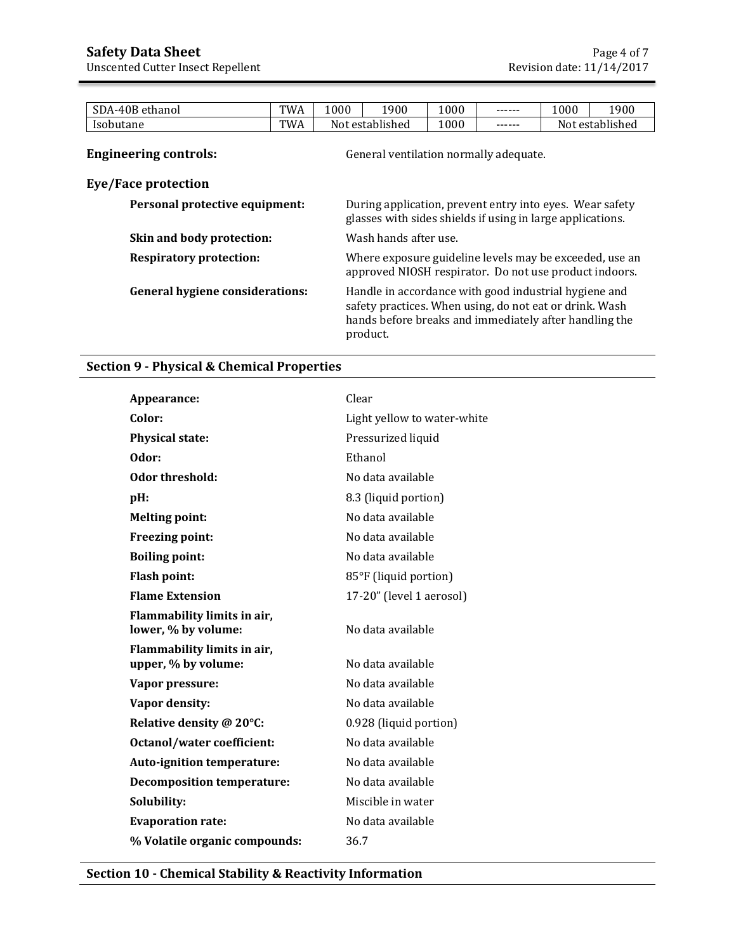Unscented Cutter Insect Repellent Revision date: 11/14/2017

| SDA-40B ethanol | TWA | 1000            | 1900 | 1000 | ------- | 1000 | 1900            |
|-----------------|-----|-----------------|------|------|---------|------|-----------------|
| Isobutane       | TWA | Not established |      | 1000 | ------  |      | Not established |
|                 |     |                 |      |      |         |      |                 |

**Engineering controls: General ventilation normally adequate.** 

| Eye/Face protection                    |                                                                                                                                                                                        |
|----------------------------------------|----------------------------------------------------------------------------------------------------------------------------------------------------------------------------------------|
| Personal protective equipment:         | During application, prevent entry into eyes. Wear safety<br>glasses with sides shields if using in large applications.                                                                 |
| Skin and body protection:              | Wash hands after use.                                                                                                                                                                  |
| <b>Respiratory protection:</b>         | Where exposure guideline levels may be exceeded, use an<br>approved NIOSH respirator. Do not use product indoors.                                                                      |
| <b>General hygiene considerations:</b> | Handle in accordance with good industrial hygiene and<br>safety practices. When using, do not eat or drink. Wash<br>hands before breaks and immediately after handling the<br>product. |

# **Section 9 - Physical & Chemical Properties**

| Appearance:                                        | Clear                       |
|----------------------------------------------------|-----------------------------|
| Color:                                             | Light yellow to water-white |
| <b>Physical state:</b>                             | Pressurized liquid          |
| Odor:                                              | Ethanol                     |
| Odor threshold:                                    | No data available           |
| pH:                                                | 8.3 (liquid portion)        |
| <b>Melting point:</b>                              | No data available           |
| <b>Freezing point:</b>                             | No data available           |
| <b>Boiling point:</b>                              | No data available           |
| <b>Flash point:</b>                                | 85°F (liquid portion)       |
| <b>Flame Extension</b>                             | 17-20" (level 1 aerosol)    |
| Flammability limits in air,<br>lower, % by volume: | No data available           |
| Flammability limits in air,<br>upper, % by volume: | No data available           |
| Vapor pressure:                                    | No data available           |
| Vapor density:                                     | No data available           |
| Relative density @ 20°C:                           | 0.928 (liquid portion)      |
| <b>Octanol/water coefficient:</b>                  | No data available           |
| Auto-ignition temperature:                         | No data available           |
| <b>Decomposition temperature:</b>                  | No data available           |
| Solubility:                                        | Miscible in water           |
| <b>Evaporation rate:</b>                           | No data available           |
| % Volatile organic compounds:                      | 36.7                        |

**Section 10 - Chemical Stability & Reactivity Information**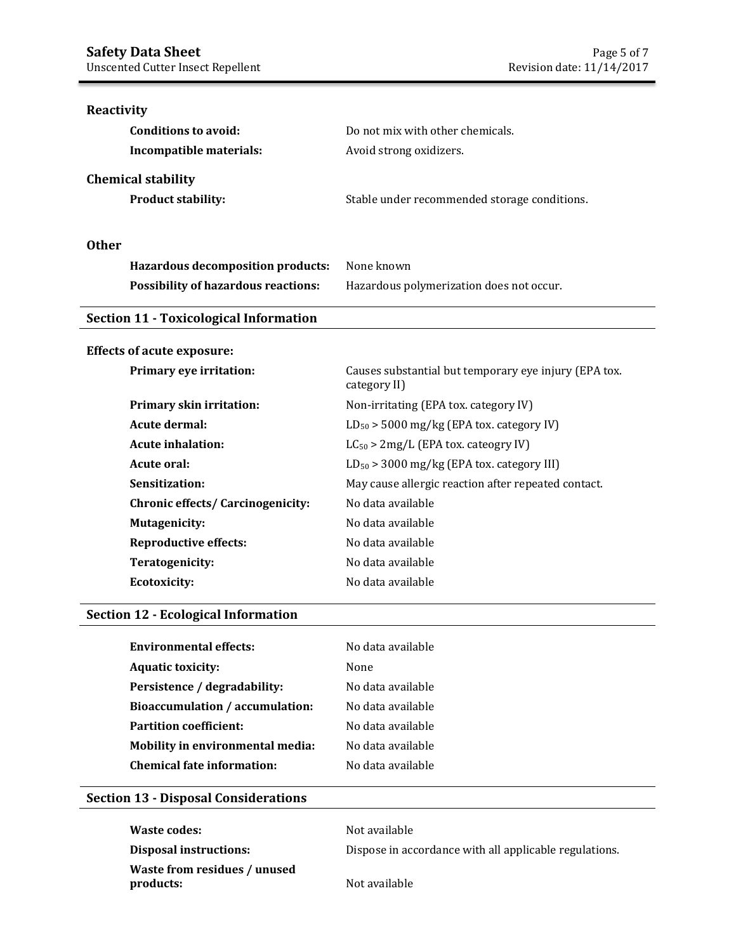## **Reactivity**

| <b>Conditions to avoid:</b><br>Incompatible materials: | Do not mix with other chemicals.<br>Avoid strong oxidizers. |
|--------------------------------------------------------|-------------------------------------------------------------|
| <b>Chemical stability</b><br><b>Product stability:</b> | Stable under recommended storage conditions.                |
| <b>Other</b>                                           |                                                             |

| <b>Hazardous decomposition products:</b>   | None known                               |
|--------------------------------------------|------------------------------------------|
| <b>Possibility of hazardous reactions:</b> | Hazardous polymerization does not occur. |

# **Section 11 - Toxicological Information**

# **Effects of acute exposure:**

| Primary eye irritation:           | Causes substantial but temporary eye injury (EPA tox.<br>category II) |
|-----------------------------------|-----------------------------------------------------------------------|
| <b>Primary skin irritation:</b>   | Non-irritating (EPA tox. category IV)                                 |
| Acute dermal:                     | $LD_{50}$ > 5000 mg/kg (EPA tox. category IV)                         |
| Acute inhalation:                 | $LC_{50}$ > 2mg/L (EPA tox. cateogry IV)                              |
| Acute oral:                       | $LD_{50}$ > 3000 mg/kg (EPA tox. category III)                        |
| Sensitization:                    | May cause allergic reaction after repeated contact.                   |
| Chronic effects/ Carcinogenicity: | No data available                                                     |
| Mutagenicity:                     | No data available                                                     |
| Reproductive effects:             | No data available                                                     |
| Teratogenicity:                   | No data available                                                     |
| Ecotoxicity:                      | No data available                                                     |

# **Section 12 - Ecological Information**

| <b>Environmental effects:</b>     | No data available |
|-----------------------------------|-------------------|
| <b>Aquatic toxicity:</b>          | None              |
| Persistence / degradability:      | No data available |
| Bioaccumulation / accumulation:   | No data available |
| <b>Partition coefficient:</b>     | No data available |
| Mobility in environmental media:  | No data available |
| <b>Chemical fate information:</b> | No data available |

# **Section 13 - Disposal Considerations**

**Waste codes:** Not available **Waste from residues / unused products:** Not available

**Disposal instructions:** Dispose in accordance with all applicable regulations.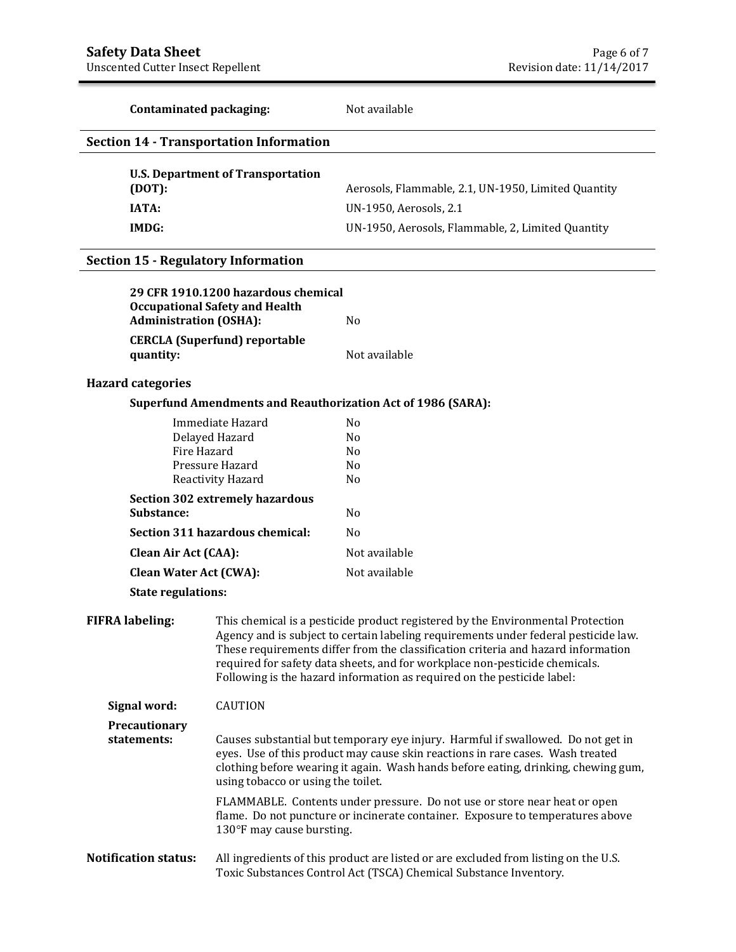**Contaminated packaging:** Not available

### **Section 14 - Transportation Information**

| U.S. Department of Transportation<br>(DOT): | Aerosols, Flammable, 2.1, UN-1950, Limited Quantity |
|---------------------------------------------|-----------------------------------------------------|
| <b>IATA:</b>                                | UN-1950, Aerosols, 2.1                              |
| IMDG:                                       | UN-1950, Aerosols, Flammable, 2, Limited Quantity   |

#### **Section 15 - Regulatory Information**

| 29 CFR 1910.1200 hazardous chemical   |               |
|---------------------------------------|---------------|
| <b>Occupational Safety and Health</b> |               |
| <b>Administration (OSHA):</b>         | N٥            |
| <b>CERCLA (Superfund) reportable</b>  |               |
| quantity:                             | Not available |

### **Hazard categories**

#### **Superfund Amendments and Reauthorization Act of 1986 (SARA):**

| Immediate Hazard                       | No             |
|----------------------------------------|----------------|
| Delayed Hazard                         | N <sub>0</sub> |
| Fire Hazard                            | N <sub>0</sub> |
| Pressure Hazard                        | N <sub>0</sub> |
| Reactivity Hazard                      | No             |
| Section 302 extremely hazardous        |                |
| <b>Substance:</b>                      | N <sub>0</sub> |
| <b>Section 311 hazardous chemical:</b> | No             |
| <b>Clean Air Act (CAA):</b>            | Not available  |
| <b>Clean Water Act (CWA):</b>          | Not available  |
|                                        |                |

### **State regulations:**

## **FIFRA labeling:** This chemical is a pesticide product registered by the Environmental Protection Agency and is subject to certain labeling requirements under federal pesticide law. These requirements differ from the classification criteria and hazard information required for safety data sheets, and for workplace non-pesticide chemicals. Following is the hazard information as required on the pesticide label:

**Signal word:** CAUTION

**Precautionary statements:** Causes substantial but temporary eye injury. Harmful if swallowed. Do not get in eyes. Use of this product may cause skin reactions in rare cases. Wash treated clothing before wearing it again. Wash hands before eating, drinking, chewing gum, using tobacco or using the toilet.

> FLAMMABLE. Contents under pressure. Do not use or store near heat or open flame. Do not puncture or incinerate container. Exposure to temperatures above 130°F may cause bursting.

**Notification status:** All ingredients of this product are listed or are excluded from listing on the U.S. Toxic Substances Control Act (TSCA) Chemical Substance Inventory.